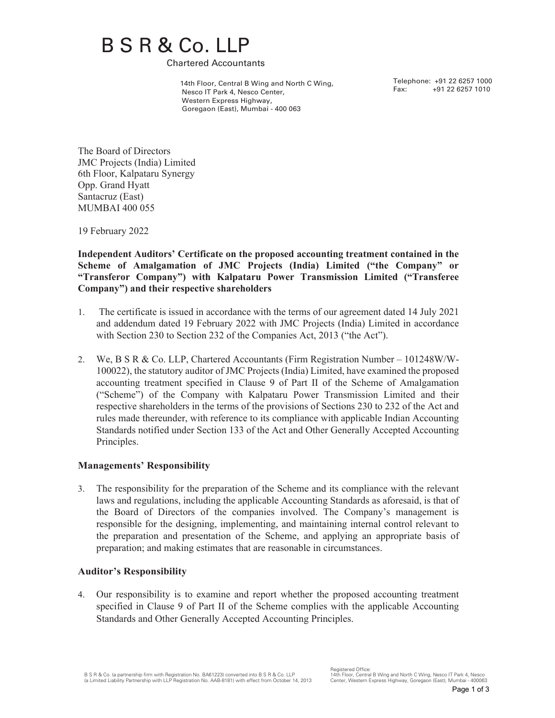# B S R & Co. LLP<br>Chartered Accountants

 14th Floor, Central B Wing and North C Wing, Nesco IT Park 4, Nesco Center, Western Express Highway, Goregaon (East), Mumbai - 400 063

Telephone: +91 22 6257 1000 Fax: +91 22 6257 1010

The Board of Directors JMC Projects (India) Limited 6th Floor, Kalpataru Synergy Opp. Grand Hyatt Santacruz (East) MUMBAI 400 055

19 February 2022

**Independent Auditors' Certificate on the proposed accounting treatment contained in the Scheme of Amalgamation of JMC Projects (India) Limited ("the Company" or "Transferor Company") with Kalpataru Power Transmission Limited ("Transferee Company") and their respective shareholders** 

- 1. The certificate is issued in accordance with the terms of our agreement dated 14 July 2021 and addendum dated 19 February 2022 with JMC Projects (India) Limited in accordance with Section 230 to Section 232 of the Companies Act, 2013 ("the Act").
- 2. We, B S R & Co. LLP, Chartered Accountants (Firm Registration Number 101248W/W-100022), the statutory auditor of JMC Projects (India) Limited, have examined the proposed accounting treatment specified in Clause 9 of Part II of the Scheme of Amalgamation ("Scheme") of the Company with Kalpataru Power Transmission Limited and their respective shareholders in the terms of the provisions of Sections 230 to 232 of the Act and rules made thereunder, with reference to its compliance with applicable Indian Accounting Standards notified under Section 133 of the Act and Other Generally Accepted Accounting Principles.

### **Managements' Responsibility**

3. The responsibility for the preparation of the Scheme and its compliance with the relevant laws and regulations, including the applicable Accounting Standards as aforesaid, is that of the Board of Directors of the companies involved. The Company's management is responsible for the designing, implementing, and maintaining internal control relevant to the preparation and presentation of the Scheme, and applying an appropriate basis of preparation; and making estimates that are reasonable in circumstances.

### **Auditor's Responsibility**

4. Our responsibility is to examine and report whether the proposed accounting treatment specified in Clause 9 of Part II of the Scheme complies with the applicable Accounting Standards and Other Generally Accepted Accounting Principles.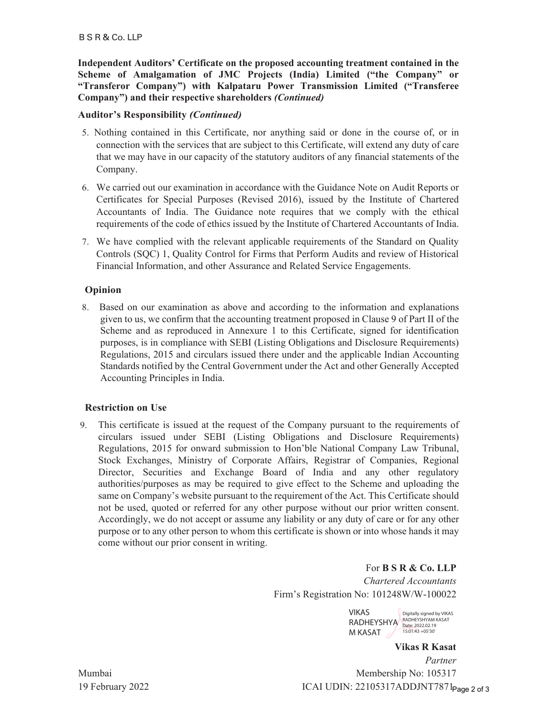**Independent Auditors' Certificate on the proposed accounting treatment contained in the Scheme of Amalgamation of JMC Projects (India) Limited ("the Company" or "Transferor Company") with Kalpataru Power Transmission Limited ("Transferee Company") and their respective shareholders** *(Continued)*

## **Auditor's Responsibility** *(Continued)*

- 5. Nothing contained in this Certificate, nor anything said or done in the course of, or in connection with the services that are subject to this Certificate, will extend any duty of care that we may have in our capacity of the statutory auditors of any financial statements of the Company.
- 6. We carried out our examination in accordance with the Guidance Note on Audit Reports or Certificates for Special Purposes (Revised 2016), issued by the Institute of Chartered Accountants of India. The Guidance note requires that we comply with the ethical requirements of the code of ethics issued by the Institute of Chartered Accountants of India.
- 7. We have complied with the relevant applicable requirements of the Standard on Quality Controls (SQC) 1, Quality Control for Firms that Perform Audits and review of Historical Financial Information, and other Assurance and Related Service Engagements.

## **Opinion**

8. Based on our examination as above and according to the information and explanations given to us, we confirm that the accounting treatment proposed in Clause 9 of Part II of the Scheme and as reproduced in Annexure 1 to this Certificate, signed for identification purposes, is in compliance with SEBI (Listing Obligations and Disclosure Requirements) Regulations, 2015 and circulars issued there under and the applicable Indian Accounting Standards notified by the Central Government under the Act and other Generally Accepted Accounting Principles in India.

### **Restriction on Use**

9. This certificate is issued at the request of the Company pursuant to the requirements of circulars issued under SEBI (Listing Obligations and Disclosure Requirements) Regulations, 2015 for onward submission to Hon'ble National Company Law Tribunal, Stock Exchanges, Ministry of Corporate Affairs, Registrar of Companies, Regional Director, Securities and Exchange Board of India and any other regulatory authorities/purposes as may be required to give effect to the Scheme and uploading the same on Company's website pursuant to the requirement of the Act. This Certificate should not be used, quoted or referred for any other purpose without our prior written consent. Accordingly, we do not accept or assume any liability or any duty of care or for any other purpose or to any other person to whom this certificate is shown or into whose hands it may come without our prior consent in writing.

> For **B S R & Co. LLP**  *Chartered Accountants* Firm's Registration No: 101248W/W-100022

> > VIKAS RADHEYSHYA RADHEYSHYAM KASAT M KASAT Digitally signed by VIKAS 15:01:43 +05'30'

**Vikas R Kasat** *Partner*  Membership No: 105317 ICAI UDIN: 22105317ADDJNT7871<sub>Page 2 of 3</sub>

Mumbai 19 February 2022